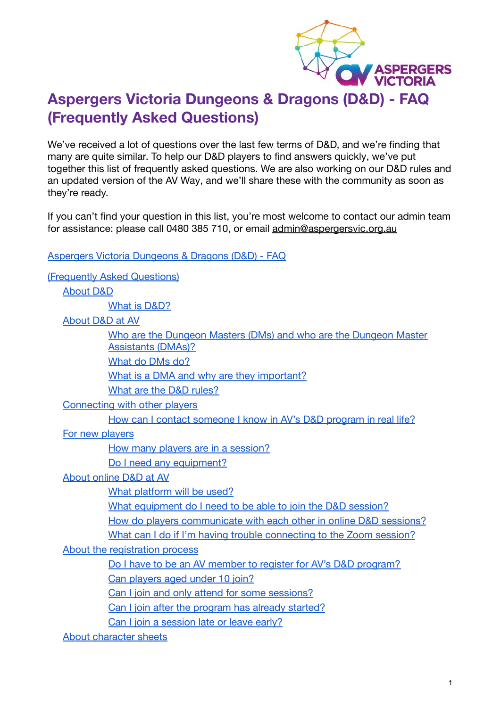

# <span id="page-0-1"></span><span id="page-0-0"></span>**Aspergers Victoria Dungeons & Dragons (D&D) - FAQ (Frequently Asked Questions)**

We've received a lot of questions over the last few terms of D&D, and we're finding that many are quite similar. To help our D&D players to find answers quickly, we've put together this list of frequently asked questions. We are also working on our D&D rules and an updated version of the AV Way, and we'll share these with the community as soon as they're ready.

If you can't find your question in this list, you're most welcome to contact our admin team for assistance: please call 0480 385 710, or email [admin@aspergersvic.org.au](mailto:admin@aspergersvic.org.au)

[Aspergers Victoria Dungeons & Dragons \(D&D\) - FAQ](#page-0-0)

[\(Frequently Asked Questions\)](#page-0-1)

[About D&D](#page-2-0)

[What is D&D?](#page-2-1)

[About D&D at AV](#page-2-2)

| Who are the Dungeon Masters (DMs) and who are the Dungeon Master |
|------------------------------------------------------------------|
| <b>Assistants (DMAs)?</b>                                        |
| What do DMs do?                                                  |

[What is a DMA and why are they important?](#page-2-5)

[What are the D&D rules?](#page-3-0)

[Connecting with other players](#page-3-1)

[How can I contact someone I know in AV's D&D program in real life?](#page-3-2)

[For new players](#page-3-3)

[How many players are in a session?](#page-4-0)

[Do I need any equipment?](#page-4-1)

[About online D&D at AV](#page-4-2)

[What platform will be used?](#page-4-3)

[What equipment do I need to be able to join the D&D session?](#page-4-4)

[How do players communicate with each other in online D&D sessions?](#page-4-5)

[What can I do if I'm having trouble connecting to the Zoom session?](#page-5-0)

[About the registration process](#page-5-1)

[Do I have to be an AV member to register for AV's D&D program?](#page-5-2)

[Can players aged under 10 join?](#page-5-3)

[Can I join and only attend for some sessions?](#page-5-4)

[Can I join after the program has already started?](#page-5-5)

[Can I join a session late or leave early?](#page-5-6)

[About character sheets](#page-6-0)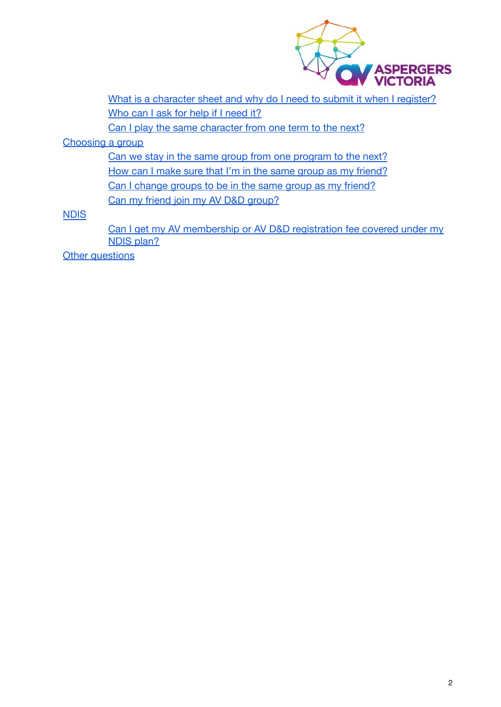

[What is a character sheet and why do I need to submit it when I register?](#page-6-1) [Who can I ask for help if I need it?](#page-6-2)

[Can I play the same character from one term to the next?](#page-6-3)

[Choosing a group](#page-6-4)

[Can we stay in the same group from one program to the next?](#page-6-5) [How can I make sure that I'm in the same group as my friend?](#page-7-0) [Can I change groups to be in the same group as my friend?](#page-7-1) [Can my friend join my AV D&D group?](#page-7-2)

**[NDIS](#page-7-3)** 

[Can I get my AV membership or AV D&D registration fee covered under my](#page-7-4) [NDIS plan?](#page-7-4)

**[Other questions](#page-8-0)**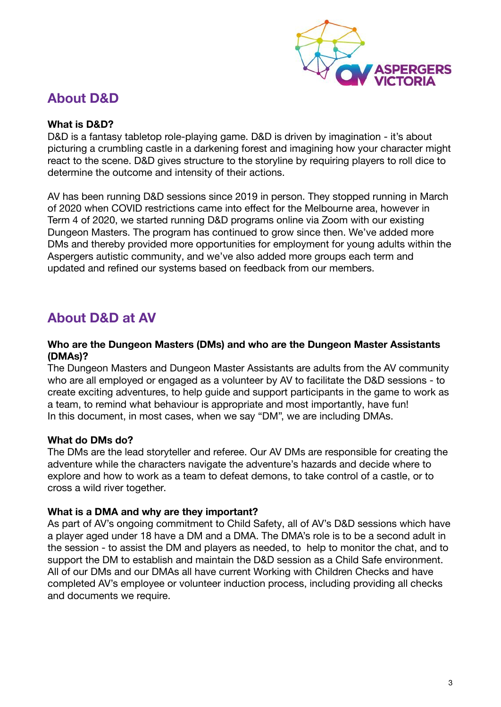

## <span id="page-2-0"></span>**About D&D**

### <span id="page-2-1"></span>**What is D&D?**

D&D is a fantasy tabletop role-playing game. D&D is driven by imagination - it's about picturing a crumbling castle in a darkening forest and imagining how your character might react to the scene. D&D gives structure to the storyline by requiring players to roll dice to determine the outcome and intensity of their actions.

AV has been running D&D sessions since 2019 in person. They stopped running in March of 2020 when COVID restrictions came into effect for the Melbourne area, however in Term 4 of 2020, we started running D&D programs online via Zoom with our existing Dungeon Masters. The program has continued to grow since then. We've added more DMs and thereby provided more opportunities for employment for young adults within the Aspergers autistic community, and we've also added more groups each term and updated and refined our systems based on feedback from our members.

## <span id="page-2-2"></span>**About D&D at AV**

#### <span id="page-2-3"></span>**Who are the Dungeon Masters (DMs) and who are the Dungeon Master Assistants (DMAs)?**

The Dungeon Masters and Dungeon Master Assistants are adults from the AV community who are all employed or engaged as a volunteer by AV to facilitate the D&D sessions - to create exciting adventures, to help guide and support participants in the game to work as a team, to remind what behaviour is appropriate and most importantly, have fun! In this document, in most cases, when we say "DM", we are including DMAs.

### <span id="page-2-4"></span>**What do DMs do?**

The DMs are the lead storyteller and referee. Our AV DMs are responsible for creating the adventure while the characters navigate the adventure's hazards and decide where to explore and how to work as a team to defeat demons, to take control of a castle, or to cross a wild river together.

### <span id="page-2-5"></span>**What is a DMA and why are they important?**

As part of AV's ongoing commitment to Child Safety, all of AV's D&D sessions which have a player aged under 18 have a DM and a DMA. The DMA's role is to be a second adult in the session - to assist the DM and players as needed, to help to monitor the chat, and to support the DM to establish and maintain the D&D session as a Child Safe environment. All of our DMs and our DMAs all have current Working with Children Checks and have completed AV's employee or volunteer induction process, including providing all checks and documents we require.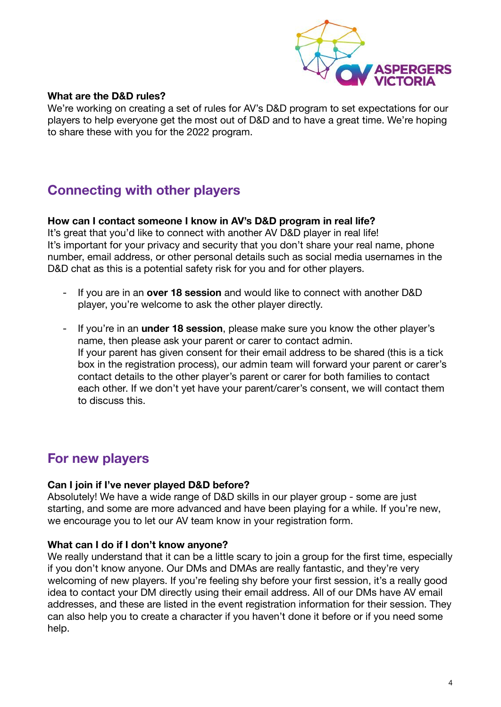

### <span id="page-3-0"></span>**What are the D&D rules?**

We're working on creating a set of rules for AV's D&D program to set expectations for our players to help everyone get the most out of D&D and to have a great time. We're hoping to share these with you for the 2022 program.

# <span id="page-3-1"></span>**Connecting with other players**

### <span id="page-3-2"></span>**How can I contact someone I know in AV's D&D program in real life?**

It's great that you'd like to connect with another AV D&D player in real life! It's important for your privacy and security that you don't share your real name, phone number, email address, or other personal details such as social media usernames in the D&D chat as this is a potential safety risk for you and for other players.

- If you are in an **over 18 session** and would like to connect with another D&D player, you're welcome to ask the other player directly.
- If you're in an **under 18 session**, please make sure you know the other player's name, then please ask your parent or carer to contact admin. If your parent has given consent for their email address to be shared (this is a tick box in the registration process), our admin team will forward your parent or carer's contact details to the other player's parent or carer for both families to contact each other. If we don't yet have your parent/carer's consent, we will contact them to discuss this.

## <span id="page-3-3"></span>**For new players**

### **Can I join if I've never played D&D before?**

Absolutely! We have a wide range of D&D skills in our player group - some are just starting, and some are more advanced and have been playing for a while. If you're new, we encourage you to let our AV team know in your registration form.

### **What can I do if I don't know anyone?**

We really understand that it can be a little scary to join a group for the first time, especially if you don't know anyone. Our DMs and DMAs are really fantastic, and they're very welcoming of new players. If you're feeling shy before your first session, it's a really good idea to contact your DM directly using their email address. All of our DMs have AV email addresses, and these are listed in the event registration information for their session. They can also help you to create a character if you haven't done it before or if you need some help.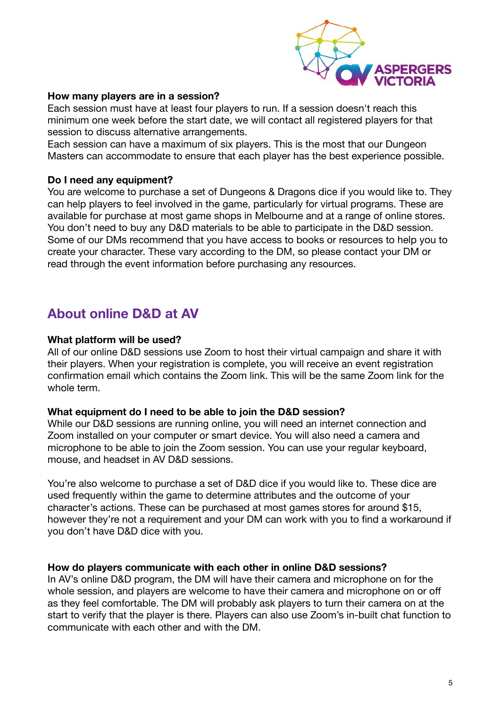

#### <span id="page-4-0"></span>**How many players are in a session?**

Each session must have at least four players to run. If a session doesn't reach this minimum one week before the start date, we will contact all registered players for that session to discuss alternative arrangements.

Each session can have a maximum of six players. This is the most that our Dungeon Masters can accommodate to ensure that each player has the best experience possible.

#### <span id="page-4-1"></span>**Do I need any equipment?**

You are welcome to purchase a set of Dungeons & Dragons dice if you would like to. They can help players to feel involved in the game, particularly for virtual programs. These are available for purchase at most game shops in Melbourne and at a range of online stores. You don't need to buy any D&D materials to be able to participate in the D&D session. Some of our DMs recommend that you have access to books or resources to help you to create your character. These vary according to the DM, so please contact your DM or read through the event information before purchasing any resources.

## <span id="page-4-2"></span>**About online D&D at AV**

#### <span id="page-4-3"></span>**What platform will be used?**

All of our online D&D sessions use Zoom to host their virtual campaign and share it with their players. When your registration is complete, you will receive an event registration confirmation email which contains the Zoom link. This will be the same Zoom link for the whole term.

#### <span id="page-4-4"></span>**What equipment do I need to be able to join the D&D session?**

While our D&D sessions are running online, you will need an internet connection and Zoom installed on your computer or smart device. You will also need a camera and microphone to be able to join the Zoom session. You can use your regular keyboard, mouse, and headset in AV D&D sessions.

You're also welcome to purchase a set of D&D dice if you would like to. These dice are used frequently within the game to determine attributes and the outcome of your character's actions. These can be purchased at most games stores for around \$15, however they're not a requirement and your DM can work with you to find a workaround if you don't have D&D dice with you.

### <span id="page-4-5"></span>**How do players communicate with each other in online D&D sessions?**

In AV's online D&D program, the DM will have their camera and microphone on for the whole session, and players are welcome to have their camera and microphone on or off as they feel comfortable. The DM will probably ask players to turn their camera on at the start to verify that the player is there. Players can also use Zoom's in-built chat function to communicate with each other and with the DM.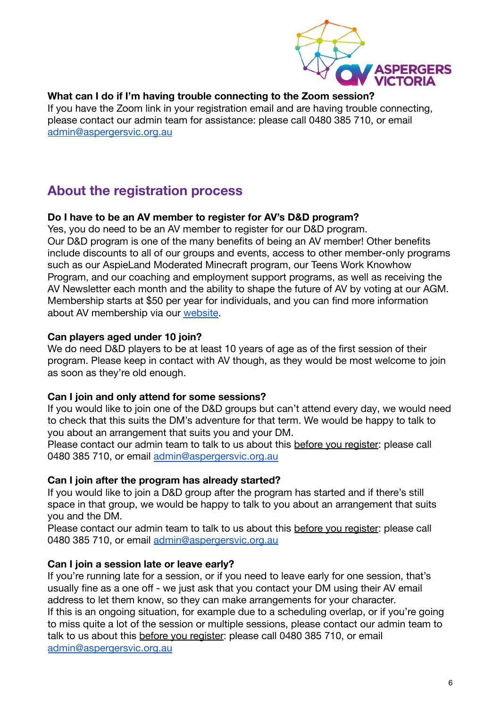

## <span id="page-5-0"></span>**What can I do if I'm having trouble connecting to the Zoom session?**

If you have the Zoom link in your registration email and are having trouble connecting, please contact our admin team for assistance: please call 0480 385 710, or email [admin@aspergersvic.org.au](mailto:admin@aspergersvic.org.au)

# <span id="page-5-1"></span>**About the registration process**

## <span id="page-5-2"></span>**Do I have to be an AV member to register for AV's D&D program?**

Yes, you do need to be an AV member to register for our D&D program. Our D&D program is one of the many benefits of being an AV member! Other benefits include discounts to all of our groups and events, access to other member-only programs such as our AspieLand Moderated Minecraft program, our Teens Work Knowhow Program, and our coaching and employment support programs, as well as receiving the AV Newsletter each month and the ability to shape the future of AV by voting at our AGM. Membership starts at \$50 per year for individuals, and you can find more information about AV membership via our [website.](https://aspergersvic.org.au/join-us)

## <span id="page-5-3"></span>**Can players aged under 10 join?**

We do need D&D players to be at least 10 years of age as of the first session of their program. Please keep in contact with AV though, as they would be most welcome to join as soon as they're old enough.

## <span id="page-5-4"></span>**Can I join and only attend for some sessions?**

If you would like to join one of the D&D groups but can't attend every day, we would need to check that this suits the DM's adventure for that term. We would be happy to talk to you about an arrangement that suits you and your DM.

Please contact our admin team to talk to us about this before you register: please call 0480 385 710, or email [admin@aspergersvic.org.au](mailto:admin@aspergersvic.org.au)

## <span id="page-5-5"></span>**Can I join after the program has already started?**

If you would like to join a D&D group after the program has started and if there's still space in that group, we would be happy to talk to you about an arrangement that suits you and the DM.

Please contact our admin team to talk to us about this before you register: please call 0480 385 710, or email [admin@aspergersvic.org.au](mailto:admin@aspergersvic.org.au)

## <span id="page-5-6"></span>**Can I join a session late or leave early?**

If you're running late for a session, or if you need to leave early for one session, that's usually fine as a one off - we just ask that you contact your DM using their AV email address to let them know, so they can make arrangements for your character. If this is an ongoing situation, for example due to a scheduling overlap, or if you're going to miss quite a lot of the session or multiple sessions, please contact our admin team to talk to us about this before you register: please call 0480 385 710, or email [admin@aspergersvic.org.au](mailto:admin@aspergersvic.org.au)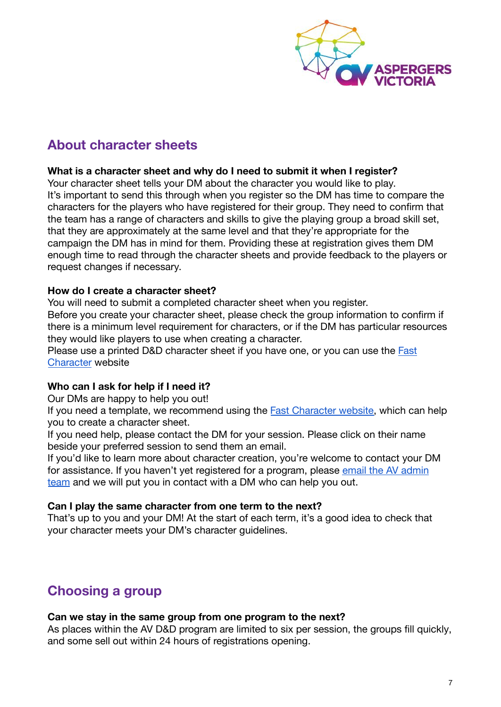

# <span id="page-6-0"></span>**About character sheets**

## <span id="page-6-1"></span>**What is a character sheet and why do I need to submit it when I register?**

Your character sheet tells your DM about the character you would like to play. It's important to send this through when you register so the DM has time to compare the characters for the players who have registered for their group. They need to confirm that the team has a range of characters and skills to give the playing group a broad skill set, that they are approximately at the same level and that they're appropriate for the campaign the DM has in mind for them. Providing these at registration gives them DM enough time to read through the character sheets and provide feedback to the players or request changes if necessary.

## **How do I create a character sheet?**

You will need to submit a completed character sheet when you register.

Before you create your character sheet, please check the group information to confirm if there is a minimum level requirement for characters, or if the DM has particular resources they would like players to use when creating a character.

Please use a printed D&D character sheet if you have one, or you can use the [Fast](https://fastcharacter.com/) [Character](https://fastcharacter.com/) website

## <span id="page-6-2"></span>**Who can I ask for help if I need it?**

Our DMs are happy to help you out!

If you need a template, we recommend using the **Fast Character website**, which can help you to create a character sheet.

If you need help, please contact the DM for your session. Please click on their name beside your preferred session to send them an email.

If you'd like to learn more about character creation, you're welcome to contact your DM for assistance. If you haven't yet registered for a program, please [email the AV admin](mailto:admin@aspergersvic.org.au) [team](mailto:admin@aspergersvic.org.au) and we will put you in contact with a DM who can help you out.

## <span id="page-6-3"></span>**Can I play the same character from one term to the next?**

That's up to you and your DM! At the start of each term, it's a good idea to check that your character meets your DM's character guidelines.

## <span id="page-6-4"></span>**Choosing a group**

### <span id="page-6-5"></span>**Can we stay in the same group from one program to the next?**

As places within the AV D&D program are limited to six per session, the groups fill quickly, and some sell out within 24 hours of registrations opening.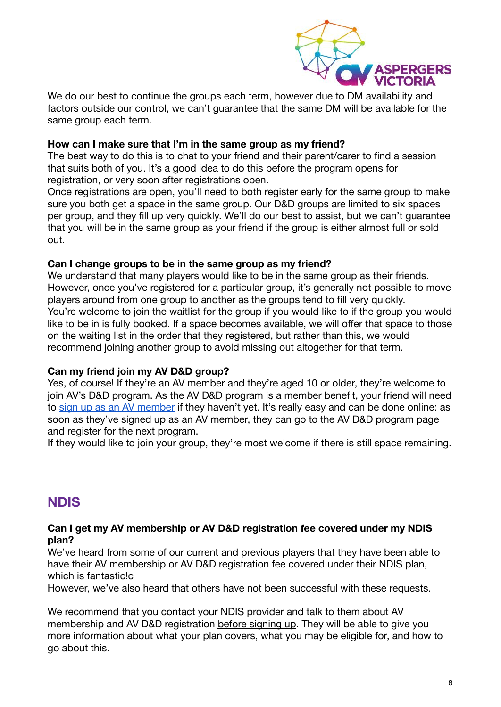

We do our best to continue the groups each term, however due to DM availability and factors outside our control, we can't guarantee that the same DM will be available for the same group each term.

### <span id="page-7-0"></span>**How can I make sure that I'm in the same group as my friend?**

The best way to do this is to chat to your friend and their parent/carer to find a session that suits both of you. It's a good idea to do this before the program opens for registration, or very soon after registrations open.

Once registrations are open, you'll need to both register early for the same group to make sure you both get a space in the same group. Our D&D groups are limited to six spaces per group, and they fill up very quickly. We'll do our best to assist, but we can't guarantee that you will be in the same group as your friend if the group is either almost full or sold out.

## <span id="page-7-1"></span>**Can I change groups to be in the same group as my friend?**

We understand that many players would like to be in the same group as their friends. However, once you've registered for a particular group, it's generally not possible to move players around from one group to another as the groups tend to fill very quickly. You're welcome to join the waitlist for the group if you would like to if the group you would like to be in is fully booked. If a space becomes available, we will offer that space to those on the waiting list in the order that they registered, but rather than this, we would recommend joining another group to avoid missing out altogether for that term.

## <span id="page-7-2"></span>**Can my friend join my AV D&D group?**

Yes, of course! If they're an AV member and they're aged 10 or older, they're welcome to join AV's D&D program. As the AV D&D program is a member benefit, your friend will need to [sign up as an AV member](https://aspergersvic.org.au/join-us) if they haven't yet. It's really easy and can be done online: as soon as they've signed up as an AV member, they can go to the AV D&D program page and register for the next program.

If they would like to join your group, they're most welcome if there is still space remaining.

## <span id="page-7-3"></span>**NDIS**

### <span id="page-7-4"></span>**Can I get my AV membership or AV D&D registration fee covered under my NDIS plan?**

We've heard from some of our current and previous players that they have been able to have their AV membership or AV D&D registration fee covered under their NDIS plan, which is fantastic!c

However, we've also heard that others have not been successful with these requests.

We recommend that you contact your NDIS provider and talk to them about AV membership and AV D&D registration before signing up. They will be able to give you more information about what your plan covers, what you may be eligible for, and how to go about this.